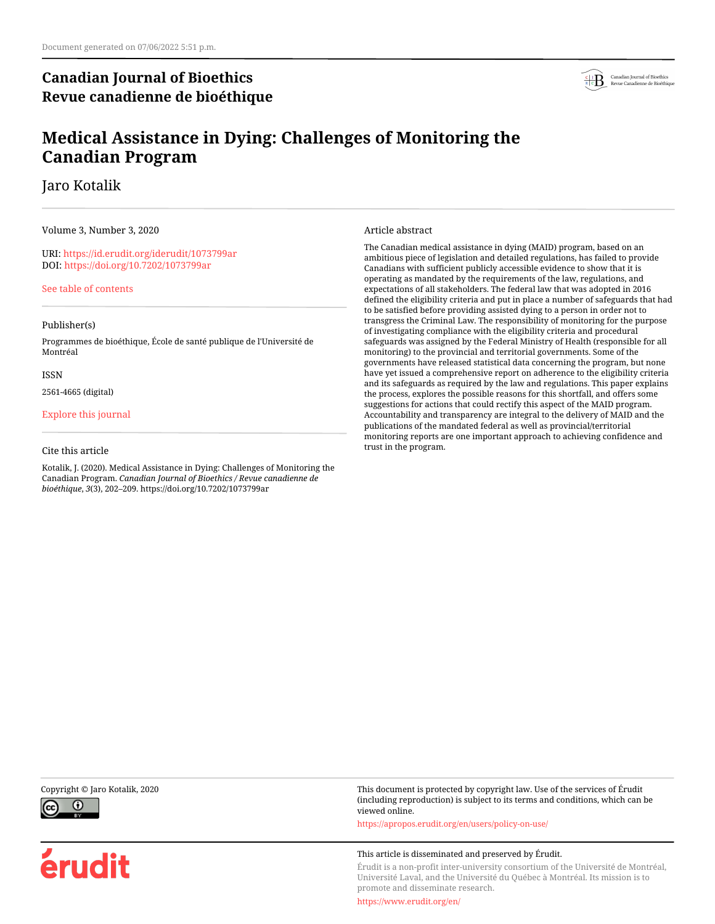# **Canadian Journal of Bioethics Revue canadienne de bioéthique**



# **Medical Assistance in Dying: Challenges of Monitoring the Canadian Program**

Jaro Kotalik

Volume 3, Number 3, 2020

URI:<https://id.erudit.org/iderudit/1073799ar> DOI:<https://doi.org/10.7202/1073799ar>

[See table of contents](https://www.erudit.org/en/journals/bioethics/2020-v3-n3-bioethics05693/)

#### Publisher(s)

Programmes de bioéthique, École de santé publique de l'Université de Montréal

#### ISSN

2561-4665 (digital)

#### [Explore this journal](https://www.erudit.org/en/journals/bioethics/)

#### Cite this article

Kotalik, J. (2020). Medical Assistance in Dying: Challenges of Monitoring the Canadian Program. *Canadian Journal of Bioethics / Revue canadienne de bioéthique*, *3*(3), 202–209. https://doi.org/10.7202/1073799ar

Article abstract

The Canadian medical assistance in dying (MAID) program, based on an ambitious piece of legislation and detailed regulations, has failed to provide Canadians with sufficient publicly accessible evidence to show that it is operating as mandated by the requirements of the law, regulations, and expectations of all stakeholders. The federal law that was adopted in 2016 defined the eligibility criteria and put in place a number of safeguards that had to be satisfied before providing assisted dying to a person in order not to transgress the Criminal Law. The responsibility of monitoring for the purpose of investigating compliance with the eligibility criteria and procedural safeguards was assigned by the Federal Ministry of Health (responsible for all monitoring) to the provincial and territorial governments. Some of the governments have released statistical data concerning the program, but none have yet issued a comprehensive report on adherence to the eligibility criteria and its safeguards as required by the law and regulations. This paper explains the process, explores the possible reasons for this shortfall, and offers some suggestions for actions that could rectify this aspect of the MAID program. Accountability and transparency are integral to the delivery of MAID and the publications of the mandated federal as well as provincial/territorial monitoring reports are one important approach to achieving confidence and trust in the program.



érudit

Copyright © Jaro Kotalik, 2020 This document is protected by copyright law. Use of the services of Érudit (including reproduction) is subject to its terms and conditions, which can be viewed online.

<https://apropos.erudit.org/en/users/policy-on-use/>

#### This article is disseminated and preserved by Érudit.

Érudit is a non-profit inter-university consortium of the Université de Montréal, Université Laval, and the Université du Québec à Montréal. Its mission is to promote and disseminate research.

<https://www.erudit.org/en/>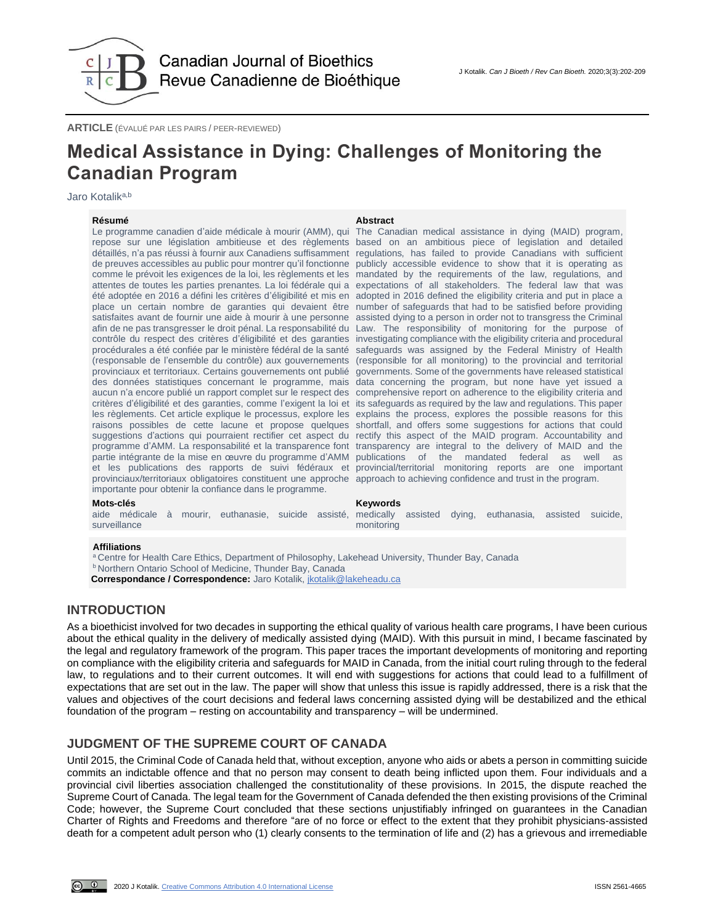

**ARTICLE** (ÉVALUÉ PAR LES PAIRS / PEER-REVIEWED)

# **Medical Assistance in Dying: Challenges of Monitoring the Canadian Program**

Jaro Kotalik<sup>a,b</sup>

#### **Résumé Abstract**

Le programme canadien d'aide médicale à mourir (AMM), qui été adoptée en 2016 a défini les critères d'éligibilité et mis en afin de ne pas transgresser le droit pénal. La responsabilité du contrôle du respect des critères d'éligibilité et des garanties procédurales a été confiée par le ministère fédéral de la santé provinciaux et territoriaux. Certains gouvernements ont publié des données statistiques concernant le programme, mais provinciaux/territoriaux obligatoires constituent une approche approach to achieving confidence and trust in the program. importante pour obtenir la confiance dans le programme.

repose sur une législation ambitieuse et des règlements based on an ambitious piece of legislation and detailed détaillés, n'a pas réussi à fournir aux Canadiens suffisamment regulations, has failed to provide Canadians with sufficient de preuves accessibles au public pour montrer qu'il fonctionne publicly accessible evidence to show that it is operating as comme le prévoit les exigences de la loi, les règlements et les mandated by the requirements of the law, regulations, and attentes de toutes les parties prenantes. La loi fédérale qui a expectations of all stakeholders. The federal law that was place un certain nombre de garanties qui devaient être number of safeguards that had to be satisfied before providing satisfaites avant de fournir une aide à mourir à une personne assisted dying to a person in order not to transgress the Criminal (responsable de l'ensemble du contrôle) aux gouvernements (responsible for all monitoring) to the provincial and territorial aucun n'a encore publié un rapport complet sur le respect des comprehensive report on adherence to the eligibility criteria and critères d'éligibilité et des garanties, comme l'exigent la loi et its safeguards as required by the law and regulations. This paper les règlements. Cet article explique le processus, explore les explains the process, explores the possible reasons for this raisons possibles de cette lacune et propose quelques shortfall, and offers some suggestions for actions that could suggestions d'actions qui pourraient rectifier cet aspect du rectify this aspect of the MAID program. Accountability and programme d'AMM. La responsabilité et la transparence font transparency are integral to the delivery of MAID and the partie intégrante de la mise en œuvre du programme d'AMM publications of the mandated federal as well as et les publications des rapports de suivi fédéraux et provincial/territorial monitoring reports are one important The Canadian medical assistance in dying (MAID) program, adopted in 2016 defined the eligibility criteria and put in place a Law. The responsibility of monitoring for the purpose of investigating compliance with the eligibility criteria and procedural safeguards was assigned by the Federal Ministry of Health governments. Some of the governments have released statistical data concerning the program, but none have yet issued a

#### **Mots-clés Keywords**

aide médicale à mourir, euthanasie, suicide assisté, medically assisted dying, euthanasia, assisted suicide, surveillance monitoring

#### **Affiliations**

a Centre for Health Care Ethics, Department of Philosophy, Lakehead University, Thunder Bay, Canada **b Northern Ontario School of Medicine, Thunder Bay, Canada** 

**Correspondance / Correspondence:** Jaro Kotalik[, jkotalik@lakeheadu.ca](mailto:jkotalik@lakeheadu.ca)

## **INTRODUCTION**

As a bioethicist involved for two decades in supporting the ethical quality of various health care programs, I have been curious about the ethical quality in the delivery of medically assisted dying (MAID). With this pursuit in mind, I became fascinated by the legal and regulatory framework of the program. This paper traces the important developments of monitoring and reporting on compliance with the eligibility criteria and safeguards for MAID in Canada, from the initial court ruling through to the federal law, to regulations and to their current outcomes. It will end with suggestions for actions that could lead to a fulfillment of expectations that are set out in the law. The paper will show that unless this issue is rapidly addressed, there is a risk that the values and objectives of the court decisions and federal laws concerning assisted dying will be destabilized and the ethical foundation of the program – resting on accountability and transparency – will be undermined.

## **JUDGMENT OF THE SUPREME COURT OF CANADA**

Until 2015, the Criminal Code of Canada held that, without exception, anyone who aids or abets a person in committing suicide commits an indictable offence and that no person may consent to death being inflicted upon them. Four individuals and a provincial civil liberties association challenged the constitutionality of these provisions. In 2015, the dispute reached the Supreme Court of Canada. The legal team for the Government of Canada defended the then existing provisions of the Criminal Code; however, the Supreme Court concluded that these sections unjustifiably infringed on guarantees in the Canadian Charter of Rights and Freedoms and therefore "are of no force or effect to the extent that they prohibit physicians-assisted death for a competent adult person who (1) clearly consents to the termination of life and (2) has a grievous and irremediable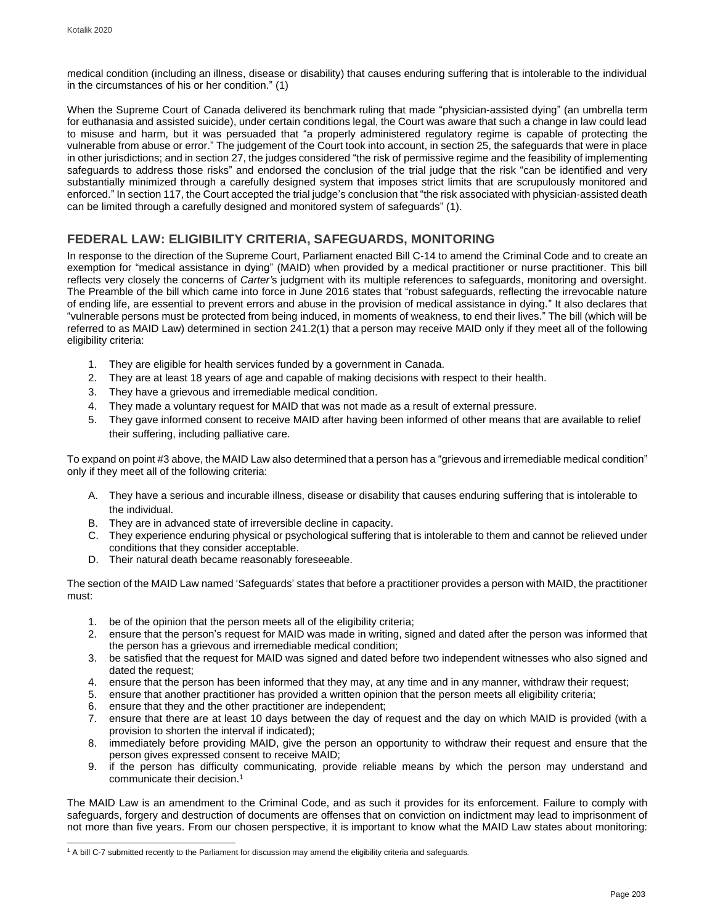medical condition (including an illness, disease or disability) that causes enduring suffering that is intolerable to the individual in the circumstances of his or her condition." (1)

When the Supreme Court of Canada delivered its benchmark ruling that made "physician-assisted dying" (an umbrella term for euthanasia and assisted suicide), under certain conditions legal, the Court was aware that such a change in law could lead to misuse and harm, but it was persuaded that "a properly administered regulatory regime is capable of protecting the vulnerable from abuse or error." The judgement of the Court took into account, in section 25, the safeguards that were in place in other jurisdictions; and in section 27, the judges considered "the risk of permissive regime and the feasibility of implementing safeguards to address those risks" and endorsed the conclusion of the trial judge that the risk "can be identified and very substantially minimized through a carefully designed system that imposes strict limits that are scrupulously monitored and enforced." In section 117, the Court accepted the trial judge's conclusion that "the risk associated with physician-assisted death can be limited through a carefully designed and monitored system of safeguards" (1).

## **FEDERAL LAW: ELIGIBILITY CRITERIA, SAFEGUARDS, MONITORING**

In response to the direction of the Supreme Court, Parliament enacted Bill C-14 to amend the Criminal Code and to create an exemption for "medical assistance in dying" (MAID) when provided by a medical practitioner or nurse practitioner. This bill reflects very closely the concerns of *Carter'*s judgment with its multiple references to safeguards, monitoring and oversight. The Preamble of the bill which came into force in June 2016 states that "robust safeguards, reflecting the irrevocable nature of ending life, are essential to prevent errors and abuse in the provision of medical assistance in dying." It also declares that "vulnerable persons must be protected from being induced, in moments of weakness, to end their lives." The bill (which will be referred to as MAID Law) determined in section 241.2(1) that a person may receive MAID only if they meet all of the following eligibility criteria:

- 1. They are eligible for health services funded by a government in Canada.
- 2. They are at least 18 years of age and capable of making decisions with respect to their health.
- 3. They have a grievous and irremediable medical condition.
- 4. They made a voluntary request for MAID that was not made as a result of external pressure.
- 5. They gave informed consent to receive MAID after having been informed of other means that are available to relief their suffering, including palliative care.

To expand on point #3 above, the MAID Law also determined that a person has a "grievous and irremediable medical condition" only if they meet all of the following criteria:

- A. They have a serious and incurable illness, disease or disability that causes enduring suffering that is intolerable to the individual.
- B. They are in advanced state of irreversible decline in capacity.
- C. They experience enduring physical or psychological suffering that is intolerable to them and cannot be relieved under conditions that they consider acceptable.
- D. Their natural death became reasonably foreseeable.

The section of the MAID Law named 'Safeguards' states that before a practitioner provides a person with MAID, the practitioner must:

- 1. be of the opinion that the person meets all of the eligibility criteria;
- 2. ensure that the person's request for MAID was made in writing, signed and dated after the person was informed that the person has a grievous and irremediable medical condition;
- 3. be satisfied that the request for MAID was signed and dated before two independent witnesses who also signed and dated the request;
- 4. ensure that the person has been informed that they may, at any time and in any manner, withdraw their request;
- 5. ensure that another practitioner has provided a written opinion that the person meets all eligibility criteria;
- 6. ensure that they and the other practitioner are independent;
- 7. ensure that there are at least 10 days between the day of request and the day on which MAID is provided (with a provision to shorten the interval if indicated);
- 8. immediately before providing MAID, give the person an opportunity to withdraw their request and ensure that the person gives expressed consent to receive MAID;
- 9. if the person has difficulty communicating, provide reliable means by which the person may understand and communicate their decision.<sup>1</sup>

The MAID Law is an amendment to the Criminal Code, and as such it provides for its enforcement. Failure to comply with safeguards, forgery and destruction of documents are offenses that on conviction on indictment may lead to imprisonment of not more than five years. From our chosen perspective, it is important to know what the MAID Law states about monitoring:

<sup>1</sup> A bill C-7 submitted recently to the Parliament for discussion may amend the eligibility criteria and safeguards.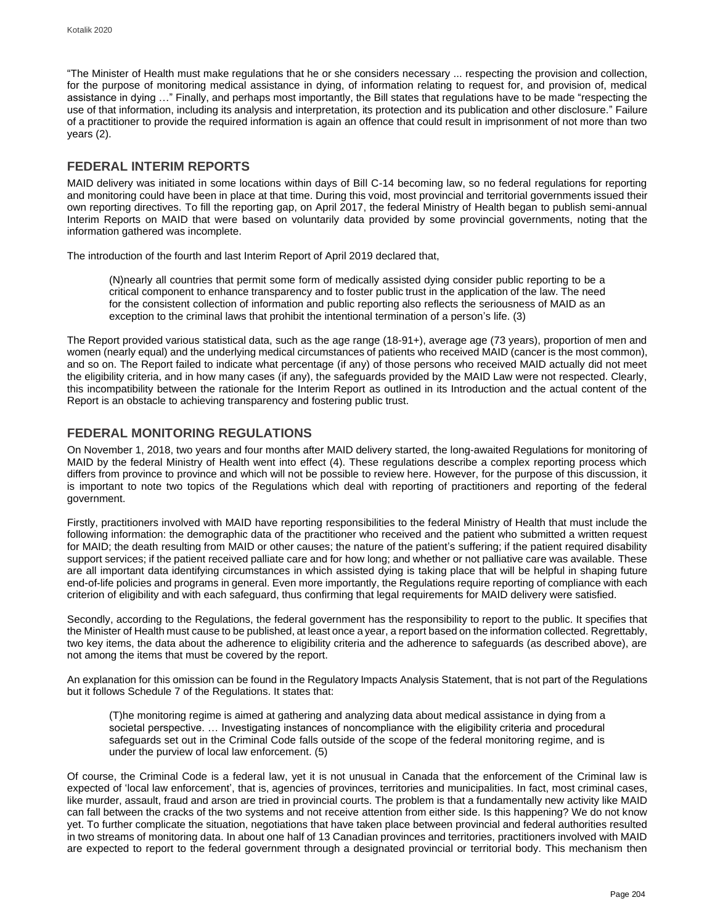"The Minister of Health must make regulations that he or she considers necessary ... respecting the provision and collection, for the purpose of monitoring medical assistance in dying, of information relating to request for, and provision of, medical assistance in dying …" Finally, and perhaps most importantly, the Bill states that regulations have to be made "respecting the use of that information, including its analysis and interpretation, its protection and its publication and other disclosure." Failure of a practitioner to provide the required information is again an offence that could result in imprisonment of not more than two years (2).

## **FEDERAL INTERIM REPORTS**

MAID delivery was initiated in some locations within days of Bill C-14 becoming law, so no federal regulations for reporting and monitoring could have been in place at that time. During this void, most provincial and territorial governments issued their own reporting directives. To fill the reporting gap, on April 2017, the federal Ministry of Health began to publish semi-annual Interim Reports on MAID that were based on voluntarily data provided by some provincial governments, noting that the information gathered was incomplete.

The introduction of the fourth and last Interim Report of April 2019 declared that,

(N)nearly all countries that permit some form of medically assisted dying consider public reporting to be a critical component to enhance transparency and to foster public trust in the application of the law. The need for the consistent collection of information and public reporting also reflects the seriousness of MAID as an exception to the criminal laws that prohibit the intentional termination of a person's life. (3)

The Report provided various statistical data, such as the age range (18-91+), average age (73 years), proportion of men and women (nearly equal) and the underlying medical circumstances of patients who received MAID (cancer is the most common), and so on. The Report failed to indicate what percentage (if any) of those persons who received MAID actually did not meet the eligibility criteria, and in how many cases (if any), the safeguards provided by the MAID Law were not respected. Clearly, this incompatibility between the rationale for the Interim Report as outlined in its Introduction and the actual content of the Report is an obstacle to achieving transparency and fostering public trust.

## **FEDERAL MONITORING REGULATIONS**

On November 1, 2018, two years and four months after MAID delivery started, the long-awaited Regulations for monitoring of MAID by the federal Ministry of Health went into effect (4). These regulations describe a complex reporting process which differs from province to province and which will not be possible to review here. However, for the purpose of this discussion, it is important to note two topics of the Regulations which deal with reporting of practitioners and reporting of the federal government.

Firstly, practitioners involved with MAID have reporting responsibilities to the federal Ministry of Health that must include the following information: the demographic data of the practitioner who received and the patient who submitted a written request for MAID; the death resulting from MAID or other causes; the nature of the patient's suffering; if the patient required disability support services; if the patient received palliate care and for how long; and whether or not palliative care was available. These are all important data identifying circumstances in which assisted dying is taking place that will be helpful in shaping future end-of-life policies and programs in general. Even more importantly, the Regulations require reporting of compliance with each criterion of eligibility and with each safeguard, thus confirming that legal requirements for MAID delivery were satisfied.

Secondly, according to the Regulations, the federal government has the responsibility to report to the public. It specifies that the Minister of Health must cause to be published, at least once a year, a report based on the information collected. Regrettably, two key items, the data about the adherence to eligibility criteria and the adherence to safeguards (as described above), are not among the items that must be covered by the report.

An explanation for this omission can be found in the Regulatory Impacts Analysis Statement, that is not part of the Regulations but it follows Schedule 7 of the Regulations. It states that:

(T)he monitoring regime is aimed at gathering and analyzing data about medical assistance in dying from a societal perspective. … Investigating instances of noncompliance with the eligibility criteria and procedural safeguards set out in the Criminal Code falls outside of the scope of the federal monitoring regime, and is under the purview of local law enforcement. (5)

Of course, the Criminal Code is a federal law, yet it is not unusual in Canada that the enforcement of the Criminal law is expected of 'local law enforcement', that is, agencies of provinces, territories and municipalities. In fact, most criminal cases, like murder, assault, fraud and arson are tried in provincial courts. The problem is that a fundamentally new activity like MAID can fall between the cracks of the two systems and not receive attention from either side. Is this happening? We do not know yet. To further complicate the situation, negotiations that have taken place between provincial and federal authorities resulted in two streams of monitoring data. In about one half of 13 Canadian provinces and territories, practitioners involved with MAID are expected to report to the federal government through a designated provincial or territorial body. This mechanism then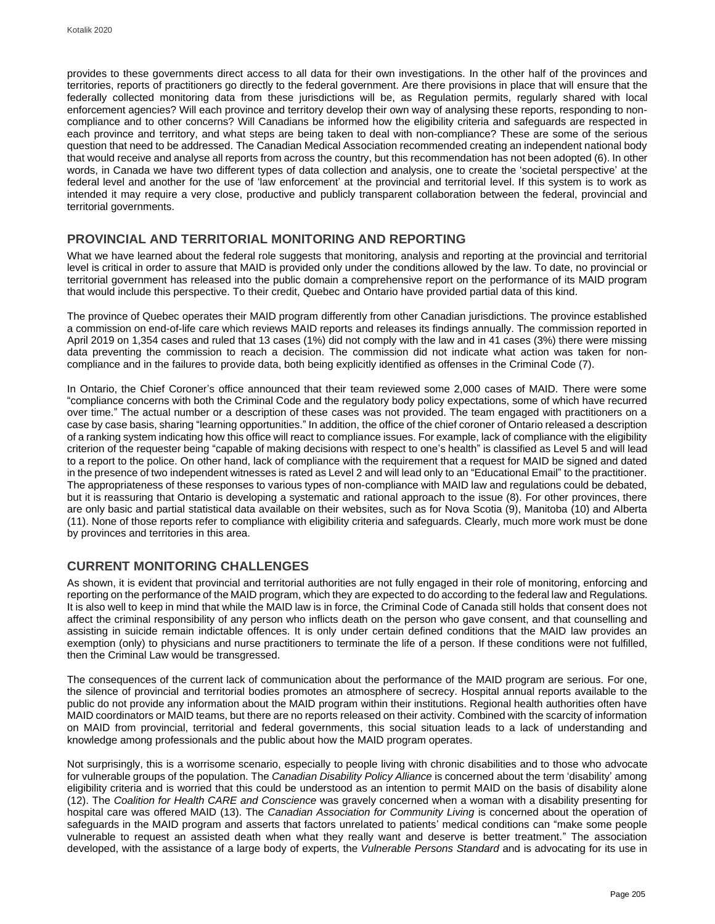provides to these governments direct access to all data for their own investigations. In the other half of the provinces and territories, reports of practitioners go directly to the federal government. Are there provisions in place that will ensure that the federally collected monitoring data from these jurisdictions will be, as Regulation permits, regularly shared with local enforcement agencies? Will each province and territory develop their own way of analysing these reports, responding to noncompliance and to other concerns? Will Canadians be informed how the eligibility criteria and safeguards are respected in each province and territory, and what steps are being taken to deal with non-compliance? These are some of the serious question that need to be addressed. The Canadian Medical Association recommended creating an independent national body that would receive and analyse all reports from across the country, but this recommendation has not been adopted (6). In other words, in Canada we have two different types of data collection and analysis, one to create the 'societal perspective' at the federal level and another for the use of 'law enforcement' at the provincial and territorial level. If this system is to work as intended it may require a very close, productive and publicly transparent collaboration between the federal, provincial and territorial governments.

### **PROVINCIAL AND TERRITORIAL MONITORING AND REPORTING**

What we have learned about the federal role suggests that monitoring, analysis and reporting at the provincial and territorial level is critical in order to assure that MAID is provided only under the conditions allowed by the law. To date, no provincial or territorial government has released into the public domain a comprehensive report on the performance of its MAID program that would include this perspective. To their credit, Quebec and Ontario have provided partial data of this kind.

The province of Quebec operates their MAID program differently from other Canadian jurisdictions. The province established a commission on end-of-life care which reviews MAID reports and releases its findings annually. The commission reported in April 2019 on 1,354 cases and ruled that 13 cases (1%) did not comply with the law and in 41 cases (3%) there were missing data preventing the commission to reach a decision. The commission did not indicate what action was taken for noncompliance and in the failures to provide data, both being explicitly identified as offenses in the Criminal Code (7).

In Ontario, the Chief Coroner's office announced that their team reviewed some 2,000 cases of MAID. There were some "compliance concerns with both the Criminal Code and the regulatory body policy expectations, some of which have recurred over time." The actual number or a description of these cases was not provided. The team engaged with practitioners on a case by case basis, sharing "learning opportunities." In addition, the office of the chief coroner of Ontario released a description of a ranking system indicating how this office will react to compliance issues. For example, lack of compliance with the eligibility criterion of the requester being "capable of making decisions with respect to one's health" is classified as Level 5 and will lead to a report to the police. On other hand, lack of compliance with the requirement that a request for MAID be signed and dated in the presence of two independent witnesses is rated as Level 2 and will lead only to an "Educational Email" to the practitioner. The appropriateness of these responses to various types of non-compliance with MAID law and regulations could be debated, but it is reassuring that Ontario is developing a systematic and rational approach to the issue (8). For other provinces, there are only basic and partial statistical data available on their websites, such as for Nova Scotia (9), Manitoba (10) and Alberta (11). None of those reports refer to compliance with eligibility criteria and safeguards. Clearly, much more work must be done by provinces and territories in this area.

## **CURRENT MONITORING CHALLENGES**

As shown, it is evident that provincial and territorial authorities are not fully engaged in their role of monitoring, enforcing and reporting on the performance of the MAID program, which they are expected to do according to the federal law and Regulations. It is also well to keep in mind that while the MAID law is in force, the Criminal Code of Canada still holds that consent does not affect the criminal responsibility of any person who inflicts death on the person who gave consent, and that counselling and assisting in suicide remain indictable offences. It is only under certain defined conditions that the MAID law provides an exemption (only) to physicians and nurse practitioners to terminate the life of a person. If these conditions were not fulfilled, then the Criminal Law would be transgressed.

The consequences of the current lack of communication about the performance of the MAID program are serious. For one, the silence of provincial and territorial bodies promotes an atmosphere of secrecy. Hospital annual reports available to the public do not provide any information about the MAID program within their institutions. Regional health authorities often have MAID coordinators or MAID teams, but there are no reports released on their activity. Combined with the scarcity of information on MAID from provincial, territorial and federal governments, this social situation leads to a lack of understanding and knowledge among professionals and the public about how the MAID program operates.

Not surprisingly, this is a worrisome scenario, especially to people living with chronic disabilities and to those who advocate for vulnerable groups of the population. The *Canadian Disability Policy Alliance* is concerned about the term 'disability' among eligibility criteria and is worried that this could be understood as an intention to permit MAID on the basis of disability alone (12). The *Coalition for Health CARE and Conscience* was gravely concerned when a woman with a disability presenting for hospital care was offered MAID (13). The *Canadian Association for Community Living* is concerned about the operation of safeguards in the MAID program and asserts that factors unrelated to patients' medical conditions can "make some people vulnerable to request an assisted death when what they really want and deserve is better treatment." The association developed, with the assistance of a large body of experts, the *Vulnerable Persons Standard* and is advocating for its use in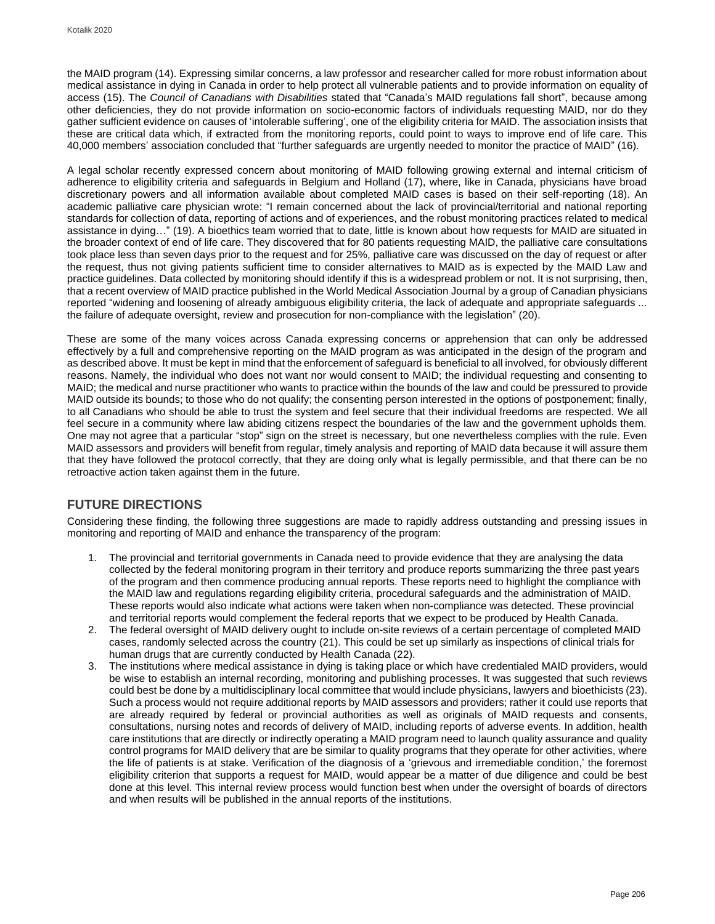the MAID program (14). Expressing similar concerns, a law professor and researcher called for more robust information about medical assistance in dying in Canada in order to help protect all vulnerable patients and to provide information on equality of access (15). The *Council of Canadians with Disabilities* stated that "Canada's MAID regulations fall short", because among other deficiencies, they do not provide information on socio-economic factors of individuals requesting MAID, nor do they gather sufficient evidence on causes of 'intolerable suffering', one of the eligibility criteria for MAID. The association insists that these are critical data which, if extracted from the monitoring reports, could point to ways to improve end of life care. This 40,000 members' association concluded that "further safeguards are urgently needed to monitor the practice of MAID" (16).

A legal scholar recently expressed concern about monitoring of MAID following growing external and internal criticism of adherence to eligibility criteria and safeguards in Belgium and Holland (17), where, like in Canada, physicians have broad discretionary powers and all information available about completed MAID cases is based on their self-reporting (18). An academic palliative care physician wrote: "I remain concerned about the lack of provincial/territorial and national reporting standards for collection of data, reporting of actions and of experiences, and the robust monitoring practices related to medical assistance in dying…" (19). A bioethics team worried that to date, little is known about how requests for MAID are situated in the broader context of end of life care. They discovered that for 80 patients requesting MAID, the palliative care consultations took place less than seven days prior to the request and for 25%, palliative care was discussed on the day of request or after the request, thus not giving patients sufficient time to consider alternatives to MAID as is expected by the MAID Law and practice guidelines. Data collected by monitoring should identify if this is a widespread problem or not. It is not surprising, then, that a recent overview of MAID practice published in the World Medical Association Journal by a group of Canadian physicians reported "widening and loosening of already ambiguous eligibility criteria, the lack of adequate and appropriate safeguards ... the failure of adequate oversight, review and prosecution for non-compliance with the legislation" (20).

These are some of the many voices across Canada expressing concerns or apprehension that can only be addressed effectively by a full and comprehensive reporting on the MAID program as was anticipated in the design of the program and as described above. It must be kept in mind that the enforcement of safeguard is beneficial to all involved, for obviously different reasons. Namely, the individual who does not want nor would consent to MAID; the individual requesting and consenting to MAID; the medical and nurse practitioner who wants to practice within the bounds of the law and could be pressured to provide MAID outside its bounds; to those who do not qualify; the consenting person interested in the options of postponement; finally, to all Canadians who should be able to trust the system and feel secure that their individual freedoms are respected. We all feel secure in a community where law abiding citizens respect the boundaries of the law and the government upholds them. One may not agree that a particular "stop" sign on the street is necessary, but one nevertheless complies with the rule. Even MAID assessors and providers will benefit from regular, timely analysis and reporting of MAID data because it will assure them that they have followed the protocol correctly, that they are doing only what is legally permissible, and that there can be no retroactive action taken against them in the future.

## **FUTURE DIRECTIONS**

Considering these finding, the following three suggestions are made to rapidly address outstanding and pressing issues in monitoring and reporting of MAID and enhance the transparency of the program:

- 1. The provincial and territorial governments in Canada need to provide evidence that they are analysing the data collected by the federal monitoring program in their territory and produce reports summarizing the three past years of the program and then commence producing annual reports. These reports need to highlight the compliance with the MAID law and regulations regarding eligibility criteria, procedural safeguards and the administration of MAID. These reports would also indicate what actions were taken when non-compliance was detected. These provincial and territorial reports would complement the federal reports that we expect to be produced by Health Canada.
- 2. The federal oversight of MAID delivery ought to include on-site reviews of a certain percentage of completed MAID cases, randomly selected across the country (21). This could be set up similarly as inspections of clinical trials for human drugs that are currently conducted by Health Canada (22).
- 3. The institutions where medical assistance in dying is taking place or which have credentialed MAID providers, would be wise to establish an internal recording, monitoring and publishing processes. It was suggested that such reviews could best be done by a multidisciplinary local committee that would include physicians, lawyers and bioethicists (23). Such a process would not require additional reports by MAID assessors and providers; rather it could use reports that are already required by federal or provincial authorities as well as originals of MAID requests and consents, consultations, nursing notes and records of delivery of MAID, including reports of adverse events. In addition, health care institutions that are directly or indirectly operating a MAID program need to launch quality assurance and quality control programs for MAID delivery that are be similar to quality programs that they operate for other activities, where the life of patients is at stake. Verification of the diagnosis of a 'grievous and irremediable condition,' the foremost eligibility criterion that supports a request for MAID, would appear be a matter of due diligence and could be best done at this level. This internal review process would function best when under the oversight of boards of directors and when results will be published in the annual reports of the institutions.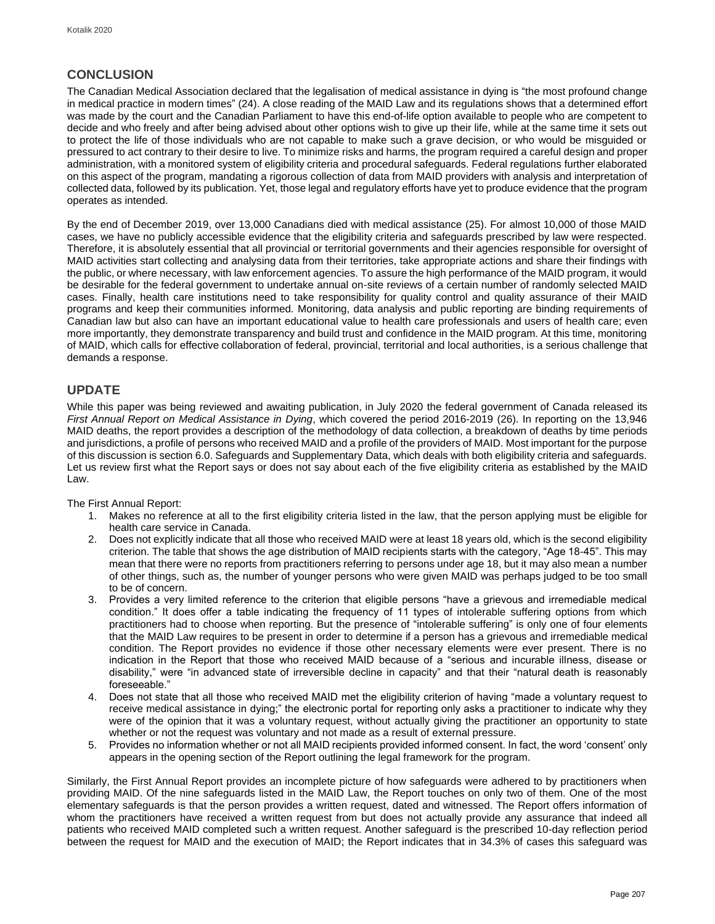## **CONCLUSION**

The Canadian Medical Association declared that the legalisation of medical assistance in dying is "the most profound change in medical practice in modern times" (24). A close reading of the MAID Law and its regulations shows that a determined effort was made by the court and the Canadian Parliament to have this end-of-life option available to people who are competent to decide and who freely and after being advised about other options wish to give up their life, while at the same time it sets out to protect the life of those individuals who are not capable to make such a grave decision, or who would be misguided or pressured to act contrary to their desire to live. To minimize risks and harms, the program required a careful design and proper administration, with a monitored system of eligibility criteria and procedural safeguards. Federal regulations further elaborated on this aspect of the program, mandating a rigorous collection of data from MAID providers with analysis and interpretation of collected data, followed by its publication. Yet, those legal and regulatory efforts have yet to produce evidence that the program operates as intended.

By the end of December 2019, over 13,000 Canadians died with medical assistance (25). For almost 10,000 of those MAID cases, we have no publicly accessible evidence that the eligibility criteria and safeguards prescribed by law were respected. Therefore, it is absolutely essential that all provincial or territorial governments and their agencies responsible for oversight of MAID activities start collecting and analysing data from their territories, take appropriate actions and share their findings with the public, or where necessary, with law enforcement agencies. To assure the high performance of the MAID program, it would be desirable for the federal government to undertake annual on-site reviews of a certain number of randomly selected MAID cases. Finally, health care institutions need to take responsibility for quality control and quality assurance of their MAID programs and keep their communities informed. Monitoring, data analysis and public reporting are binding requirements of Canadian law but also can have an important educational value to health care professionals and users of health care; even more importantly, they demonstrate transparency and build trust and confidence in the MAID program. At this time, monitoring of MAID, which calls for effective collaboration of federal, provincial, territorial and local authorities, is a serious challenge that demands a response.

## **UPDATE**

While this paper was being reviewed and awaiting publication, in July 2020 the federal government of Canada released its *First Annual Report on Medical Assistance in Dying*, which covered the period 2016-2019 (26). In reporting on the 13,946 MAID deaths, the report provides a description of the methodology of data collection, a breakdown of deaths by time periods and jurisdictions, a profile of persons who received MAID and a profile of the providers of MAID. Most important for the purpose of this discussion is section 6.0. Safeguards and Supplementary Data, which deals with both eligibility criteria and safeguards. Let us review first what the Report says or does not say about each of the five eligibility criteria as established by the MAID Law.

The First Annual Report:

- 1. Makes no reference at all to the first eligibility criteria listed in the law, that the person applying must be eligible for health care service in Canada.
- 2. Does not explicitly indicate that all those who received MAID were at least 18 years old, which is the second eligibility criterion. The table that shows the age distribution of MAID recipients starts with the category, "Age 18-45". This may mean that there were no reports from practitioners referring to persons under age 18, but it may also mean a number of other things, such as, the number of younger persons who were given MAID was perhaps judged to be too small to be of concern.
- 3. Provides a very limited reference to the criterion that eligible persons "have a grievous and irremediable medical condition." It does offer a table indicating the frequency of 11 types of intolerable suffering options from which practitioners had to choose when reporting. But the presence of "intolerable suffering" is only one of four elements that the MAID Law requires to be present in order to determine if a person has a grievous and irremediable medical condition. The Report provides no evidence if those other necessary elements were ever present. There is no indication in the Report that those who received MAID because of a "serious and incurable illness, disease or disability," were "in advanced state of irreversible decline in capacity" and that their "natural death is reasonably foreseeable."
- 4. Does not state that all those who received MAID met the eligibility criterion of having "made a voluntary request to receive medical assistance in dying;" the electronic portal for reporting only asks a practitioner to indicate why they were of the opinion that it was a voluntary request, without actually giving the practitioner an opportunity to state whether or not the request was voluntary and not made as a result of external pressure.
- 5. Provides no information whether or not all MAID recipients provided informed consent. In fact, the word 'consent' only appears in the opening section of the Report outlining the legal framework for the program.

Similarly, the First Annual Report provides an incomplete picture of how safeguards were adhered to by practitioners when providing MAID. Of the nine safeguards listed in the MAID Law, the Report touches on only two of them. One of the most elementary safeguards is that the person provides a written request, dated and witnessed. The Report offers information of whom the practitioners have received a written request from but does not actually provide any assurance that indeed all patients who received MAID completed such a written request. Another safeguard is the prescribed 10-day reflection period between the request for MAID and the execution of MAID; the Report indicates that in 34.3% of cases this safeguard was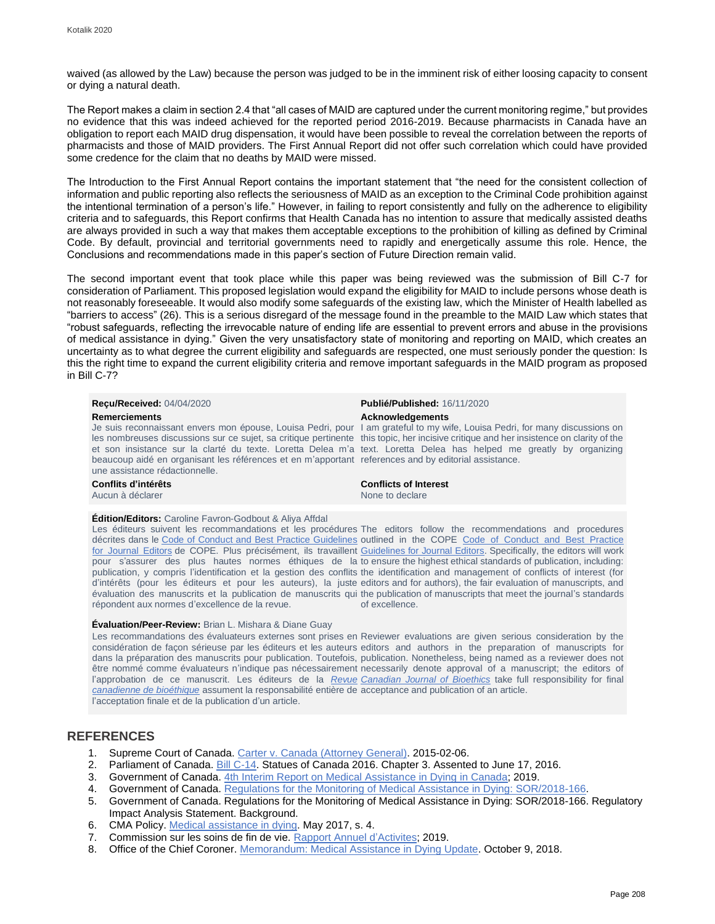waived (as allowed by the Law) because the person was judged to be in the imminent risk of either loosing capacity to consent or dying a natural death.

The Report makes a claim in section 2.4 that "all cases of MAID are captured under the current monitoring regime," but provides no evidence that this was indeed achieved for the reported period 2016-2019. Because pharmacists in Canada have an obligation to report each MAID drug dispensation, it would have been possible to reveal the correlation between the reports of pharmacists and those of MAID providers. The First Annual Report did not offer such correlation which could have provided some credence for the claim that no deaths by MAID were missed.

The Introduction to the First Annual Report contains the important statement that "the need for the consistent collection of information and public reporting also reflects the seriousness of MAID as an exception to the Criminal Code prohibition against the intentional termination of a person's life." However, in failing to report consistently and fully on the adherence to eligibility criteria and to safeguards, this Report confirms that Health Canada has no intention to assure that medically assisted deaths are always provided in such a way that makes them acceptable exceptions to the prohibition of killing as defined by Criminal Code. By default, provincial and territorial governments need to rapidly and energetically assume this role. Hence, the Conclusions and recommendations made in this paper's section of Future Direction remain valid.

The second important event that took place while this paper was being reviewed was the submission of Bill C-7 for consideration of Parliament. This proposed legislation would expand the eligibility for MAID to include persons whose death is not reasonably foreseeable. It would also modify some safeguards of the existing law, which the Minister of Health labelled as "barriers to access" (26). This is a serious disregard of the message found in the preamble to the MAID Law which states that "robust safeguards, reflecting the irrevocable nature of ending life are essential to prevent errors and abuse in the provisions of medical assistance in dying." Given the very unsatisfactory state of monitoring and reporting on MAID, which creates an uncertainty as to what degree the current eligibility and safeguards are respected, one must seriously ponder the question: Is this the right time to expand the current eligibility criteria and remove important safeguards in the MAID program as proposed in Bill C-7?

| <b>Recu/Received: 04/04/2020</b><br><b>Remerciements</b><br>beaucoup aidé en organisant les références et en m'apportant references and by editorial assistance.<br>une assistance rédactionnelle.                                                                                                  | Publié/Published: 16/11/2020<br><b>Acknowledgements</b><br>Je suis reconnaissant envers mon épouse, Louisa Pedri, pour 1 am grateful to my wife, Louisa Pedri, for many discussions on<br>les nombreuses discussions sur ce sujet, sa critique pertinente this topic, her incisive critique and her insistence on clarity of the<br>et son insistance sur la clarté du texte. Loretta Delea m'a text. Loretta Delea has helped me greatly by organizing |
|-----------------------------------------------------------------------------------------------------------------------------------------------------------------------------------------------------------------------------------------------------------------------------------------------------|---------------------------------------------------------------------------------------------------------------------------------------------------------------------------------------------------------------------------------------------------------------------------------------------------------------------------------------------------------------------------------------------------------------------------------------------------------|
| Conflits d'intérêts<br>Aucun à déclarer                                                                                                                                                                                                                                                             | <b>Conflicts of Interest</b><br>None to declare                                                                                                                                                                                                                                                                                                                                                                                                         |
| Edition/Editors: Caroline Favron-Godbout & Aliya Affdal<br>Les éditeurs suivent les recommandations et les procédures The editors follow the recommendations and procedures<br>décrites dans le Code of Conduct and Best Practice Guidelines outlined in the COPE Code of Conduct and Best Practice |                                                                                                                                                                                                                                                                                                                                                                                                                                                         |

of excellence.

[for Journal Editors](http://publicationethics.org/resources/code-conduct) de COPE. Plus précisément, ils travaillent [Guidelines for Journal Editors.](http://publicationethics.org/resources/code-conduct) Specifically, the editors will work pour s'assurer des plus hautes normes éthiques de la to ensure the highest ethical standards of publication, including: publication, y compris l'identification et la gestion des conflits the identification and management of conflicts of interest (for d'intérêts (pour les éditeurs et pour les auteurs), la juste editors and for authors), the fair evaluation of manuscripts, and évaluation des manuscrits et la publication de manuscrits qui the publication of manuscripts that meet the journal's standards répondent aux normes d'excellence de la revue.

#### **Évaluation/Peer-Review:** Brian L. Mishara & Diane Guay

Les recommandations des évaluateurs externes sont prises en Reviewer evaluations are given serious consideration by the considération de façon sérieuse par les éditeurs et les auteurs editors and authors in the preparation of manuscripts for dans la préparation des manuscrits pour publication. Toutefois, publication. Nonetheless, being named as a reviewer does not être nommé comme évaluateurs n'indique pas nécessairement necessarily denote approval of a manuscript; the editors of l'approbation de ce manuscrit. Les éditeurs de la *[Revue](http://cjb-rcb.ca/) [Canadian Journal of Bioethics](http://cjb-rcb.ca/)* take full responsibility for final *[canadienne de bioéthique](http://cjb-rcb.ca/)* assument la responsabilité entière de acceptance and publication of an article. l'acceptation finale et de la publication d'un article.

### **REFERENCES**

- 1. Supreme Court of Canada[. Carter v. Canada \(Attorney General\).](https://scc-csc.lexum.com/scc-csc/scc-csc/en/item/14637/index.do) 2015-02-06.
- 2. Parliament of Canada[. Bill C-14.](https://www.parl.ca/DocumentViewer/en/42-1/bill/C-14/royal-assent) Statues of Canada 2016. Chapter 3. Assented to June 17, 2016.
- 3. Government of Canada. 4th Interim Report [on Medical Assistance in Dying in Canada;](https://www.canada.ca/content/dam/hc-sc/documents/services/publications/health-system-services/medical-assistance-dying-interim-report-april-2019/medical-assistance-dying-interim-report-april-2019-eng.pdf) 2019.
- 4. Government of Canada. [Regulations for the Monitoring of Medical Assistance in Dying: SOR/2018-166.](http://www.gazette.gc.ca/rp-pr/p2/2018/2018-08-08/html/sor-dors166-eng.html)
- 5. Government of Canada. Regulations for the Monitoring of Medical Assistance in Dying: SOR/2018-166. Regulatory Impact Analysis Statement. Background.
- 6. CMA Policy. [Medical assistance in dying.](https://policybase.cma.ca/documents/policypdf/PD17-03.pdf) May 2017, s. 4.
- 7. Commission sur les soins de fin de vie[. Rapport Annuel d'Activites;](https://www.msss.gouv.qc.ca/ministere/salle-de-presse/communique-1770) 2019.
- 8. Office of the Chief Coroner[. Memorandum: Medical Assistance in Dying Update.](https://www.mcscs.jus.gov.on.ca/english/Deathinvestigations/OfficeChiefCoroner/Publicationsandreports/MedicalAssistanceDyingUpdate.html) October 9, 2018.